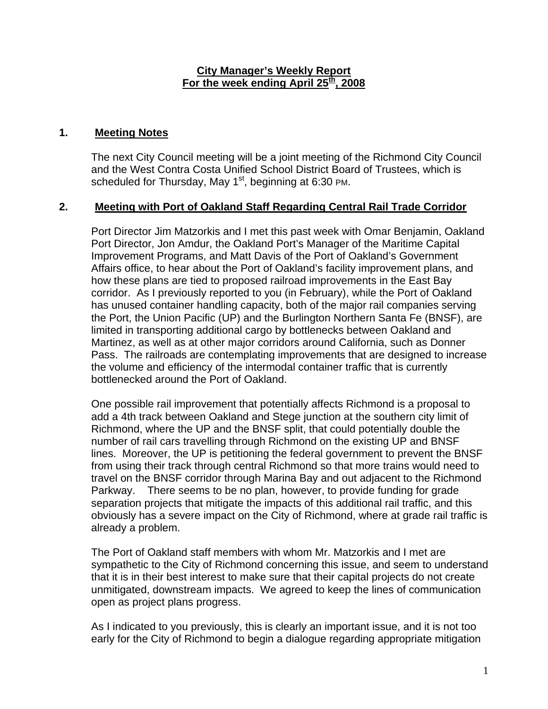### **City Manager's Weekly Report** For the week ending April 25<sup>th</sup>, 2008

## **1. Meeting Notes**

The next City Council meeting will be a joint meeting of the Richmond City Council and the West Contra Costa Unified School District Board of Trustees, which is scheduled for Thursday, May  $1<sup>st</sup>$ , beginning at 6:30 PM.

### **2. Meeting with Port of Oakland Staff Regarding Central Rail Trade Corridor**

Port Director Jim Matzorkis and I met this past week with Omar Benjamin, Oakland Port Director, Jon Amdur, the Oakland Port's Manager of the Maritime Capital Improvement Programs, and Matt Davis of the Port of Oakland's Government Affairs office, to hear about the Port of Oakland's facility improvement plans, and how these plans are tied to proposed railroad improvements in the East Bay corridor. As I previously reported to you (in February), while the Port of Oakland has unused container handling capacity, both of the major rail companies serving the Port, the Union Pacific (UP) and the Burlington Northern Santa Fe (BNSF), are limited in transporting additional cargo by bottlenecks between Oakland and Martinez, as well as at other major corridors around California, such as Donner Pass. The railroads are contemplating improvements that are designed to increase the volume and efficiency of the intermodal container traffic that is currently bottlenecked around the Port of Oakland.

One possible rail improvement that potentially affects Richmond is a proposal to add a 4th track between Oakland and Stege junction at the southern city limit of Richmond, where the UP and the BNSF split, that could potentially double the number of rail cars travelling through Richmond on the existing UP and BNSF lines. Moreover, the UP is petitioning the federal government to prevent the BNSF from using their track through central Richmond so that more trains would need to travel on the BNSF corridor through Marina Bay and out adjacent to the Richmond Parkway. There seems to be no plan, however, to provide funding for grade separation projects that mitigate the impacts of this additional rail traffic, and this obviously has a severe impact on the City of Richmond, where at grade rail traffic is already a problem.

The Port of Oakland staff members with whom Mr. Matzorkis and I met are sympathetic to the City of Richmond concerning this issue, and seem to understand that it is in their best interest to make sure that their capital projects do not create unmitigated, downstream impacts. We agreed to keep the lines of communication open as project plans progress.

As I indicated to you previously, this is clearly an important issue, and it is not too early for the City of Richmond to begin a dialogue regarding appropriate mitigation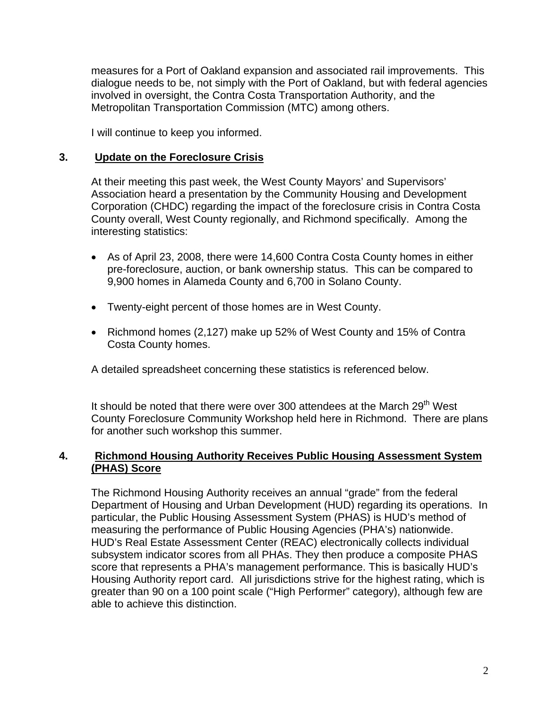measures for a Port of Oakland expansion and associated rail improvements. This dialogue needs to be, not simply with the Port of Oakland, but with federal agencies involved in oversight, the Contra Costa Transportation Authority, and the Metropolitan Transportation Commission (MTC) among others.

I will continue to keep you informed.

#### **3. Update on the Foreclosure Crisis**

At their meeting this past week, the West County Mayors' and Supervisors' Association heard a presentation by the Community Housing and Development Corporation (CHDC) regarding the impact of the foreclosure crisis in Contra Costa County overall, West County regionally, and Richmond specifically. Among the interesting statistics:

- As of April 23, 2008, there were 14,600 Contra Costa County homes in either pre-foreclosure, auction, or bank ownership status. This can be compared to 9,900 homes in Alameda County and 6,700 in Solano County.
- Twenty-eight percent of those homes are in West County.
- Richmond homes (2,127) make up 52% of West County and 15% of Contra Costa County homes.

A detailed spreadsheet concerning these statistics is referenced below.

It should be noted that there were over 300 attendees at the March 29<sup>th</sup> West County Foreclosure Community Workshop held here in Richmond. There are plans for another such workshop this summer.

#### **4. Richmond Housing Authority Receives Public Housing Assessment System (PHAS) Score**

The Richmond Housing Authority receives an annual "grade" from the federal Department of Housing and Urban Development (HUD) regarding its operations. In particular, the Public Housing Assessment System (PHAS) is HUD's method of measuring the performance of Public Housing Agencies (PHA's) nationwide. HUD's Real Estate Assessment Center (REAC) electronically collects individual subsystem indicator scores from all PHAs. They then produce a composite PHAS score that represents a PHA's management performance. This is basically HUD's Housing Authority report card. All jurisdictions strive for the highest rating, which is greater than 90 on a 100 point scale ("High Performer" category), although few are able to achieve this distinction.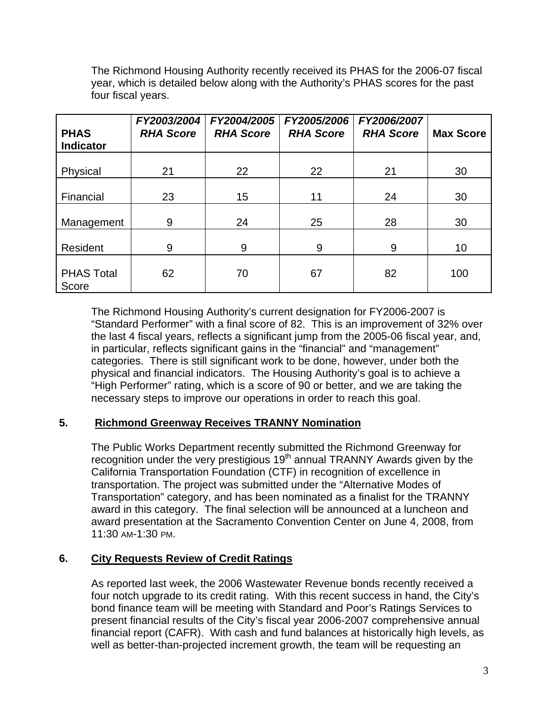The Richmond Housing Authority recently received its PHAS for the 2006-07 fiscal year, which is detailed below along with the Authority's PHAS scores for the past four fiscal years.

| <b>PHAS</b><br><b>Indicator</b> | FY2003/2004<br><b>RHA Score</b> | FY2004/2005<br><b>RHA Score</b> | FY2005/2006<br><b>RHA Score</b> | FY2006/2007<br><b>RHA Score</b> | <b>Max Score</b> |
|---------------------------------|---------------------------------|---------------------------------|---------------------------------|---------------------------------|------------------|
| Physical                        | 21                              | 22                              | 22                              | 21                              | 30               |
| Financial                       | 23                              | 15                              | 11                              | 24                              | 30               |
| Management                      | 9                               | 24                              | 25                              | 28                              | 30               |
| Resident                        | 9                               | 9                               | 9                               | 9                               | 10               |
| <b>PHAS Total</b><br>Score      | 62                              | 70                              | 67                              | 82                              | 100              |

The Richmond Housing Authority's current designation for FY2006-2007 is "Standard Performer" with a final score of 82. This is an improvement of 32% over the last 4 fiscal years, reflects a significant jump from the 2005-06 fiscal year, and, in particular, reflects significant gains in the "financial" and "management" categories. There is still significant work to be done, however, under both the physical and financial indicators. The Housing Authority's goal is to achieve a "High Performer" rating, which is a score of 90 or better, and we are taking the necessary steps to improve our operations in order to reach this goal.

## **5. Richmond Greenway Receives TRANNY Nomination**

The Public Works Department recently submitted the Richmond Greenway for recognition under the very prestigious  $19<sup>th</sup>$  annual TRANNY Awards given by the California Transportation Foundation (CTF) in recognition of excellence in transportation. The project was submitted under the "Alternative Modes of Transportation" category, and has been nominated as a finalist for the TRANNY award in this category. The final selection will be announced at a luncheon and award presentation at the Sacramento Convention Center on June 4, 2008, from 11:30 AM-1:30 PM.

## **6. City Requests Review of Credit Ratings**

As reported last week, the 2006 Wastewater Revenue bonds recently received a four notch upgrade to its credit rating. With this recent success in hand, the City's bond finance team will be meeting with Standard and Poor's Ratings Services to present financial results of the City's fiscal year 2006-2007 comprehensive annual financial report (CAFR). With cash and fund balances at historically high levels, as well as better-than-projected increment growth, the team will be requesting an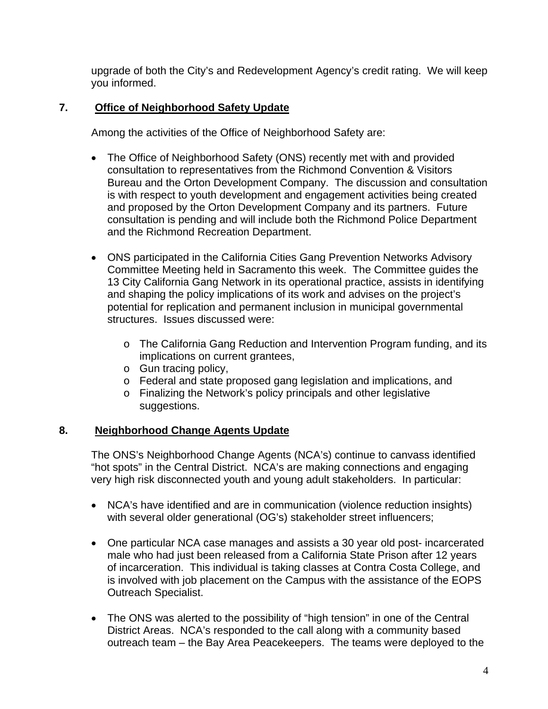upgrade of both the City's and Redevelopment Agency's credit rating. We will keep you informed.

# **7. Office of Neighborhood Safety Update**

Among the activities of the Office of Neighborhood Safety are:

- The Office of Neighborhood Safety (ONS) recently met with and provided consultation to representatives from the Richmond Convention & Visitors Bureau and the Orton Development Company. The discussion and consultation is with respect to youth development and engagement activities being created and proposed by the Orton Development Company and its partners. Future consultation is pending and will include both the Richmond Police Department and the Richmond Recreation Department.
- ONS participated in the California Cities Gang Prevention Networks Advisory Committee Meeting held in Sacramento this week. The Committee guides the 13 City California Gang Network in its operational practice, assists in identifying and shaping the policy implications of its work and advises on the project's potential for replication and permanent inclusion in municipal governmental structures. Issues discussed were:
	- o The California Gang Reduction and Intervention Program funding, and its implications on current grantees,
	- o Gun tracing policy,
	- o Federal and state proposed gang legislation and implications, and
	- o Finalizing the Network's policy principals and other legislative suggestions.

## **8. Neighborhood Change Agents Update**

The ONS's Neighborhood Change Agents (NCA's) continue to canvass identified "hot spots" in the Central District. NCA's are making connections and engaging very high risk disconnected youth and young adult stakeholders. In particular:

- NCA's have identified and are in communication (violence reduction insights) with several older generational (OG's) stakeholder street influencers;
- One particular NCA case manages and assists a 30 year old post- incarcerated male who had just been released from a California State Prison after 12 years of incarceration. This individual is taking classes at Contra Costa College, and is involved with job placement on the Campus with the assistance of the EOPS Outreach Specialist.
- The ONS was alerted to the possibility of "high tension" in one of the Central District Areas. NCA's responded to the call along with a community based outreach team – the Bay Area Peacekeepers. The teams were deployed to the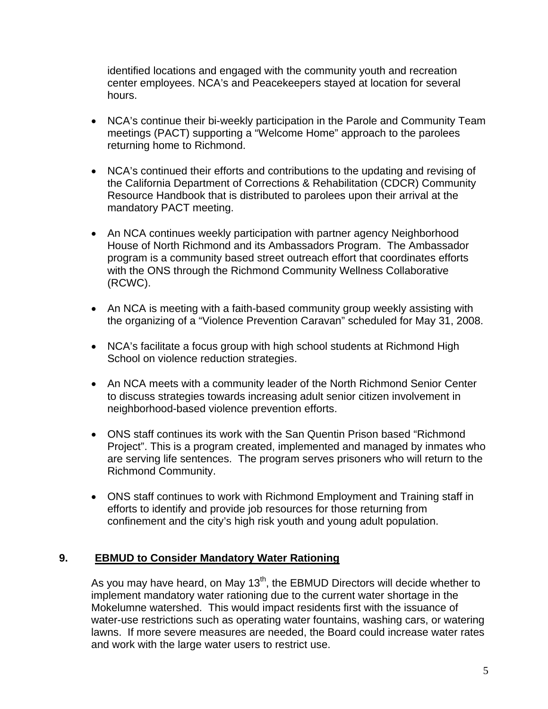identified locations and engaged with the community youth and recreation center employees. NCA's and Peacekeepers stayed at location for several hours.

- NCA's continue their bi-weekly participation in the Parole and Community Team meetings (PACT) supporting a "Welcome Home" approach to the parolees returning home to Richmond.
- NCA's continued their efforts and contributions to the updating and revising of the California Department of Corrections & Rehabilitation (CDCR) Community Resource Handbook that is distributed to parolees upon their arrival at the mandatory PACT meeting.
- An NCA continues weekly participation with partner agency Neighborhood House of North Richmond and its Ambassadors Program. The Ambassador program is a community based street outreach effort that coordinates efforts with the ONS through the Richmond Community Wellness Collaborative (RCWC).
- An NCA is meeting with a faith-based community group weekly assisting with the organizing of a "Violence Prevention Caravan" scheduled for May 31, 2008.
- NCA's facilitate a focus group with high school students at Richmond High School on violence reduction strategies.
- An NCA meets with a community leader of the North Richmond Senior Center to discuss strategies towards increasing adult senior citizen involvement in neighborhood-based violence prevention efforts.
- ONS staff continues its work with the San Quentin Prison based "Richmond Project". This is a program created, implemented and managed by inmates who are serving life sentences. The program serves prisoners who will return to the Richmond Community.
- ONS staff continues to work with Richmond Employment and Training staff in efforts to identify and provide job resources for those returning from confinement and the city's high risk youth and young adult population.

## **9. EBMUD to Consider Mandatory Water Rationing**

As you may have heard, on May  $13<sup>th</sup>$ , the EBMUD Directors will decide whether to implement mandatory water rationing due to the current water shortage in the Mokelumne watershed. This would impact residents first with the issuance of water-use restrictions such as operating water fountains, washing cars, or watering lawns. If more severe measures are needed, the Board could increase water rates and work with the large water users to restrict use.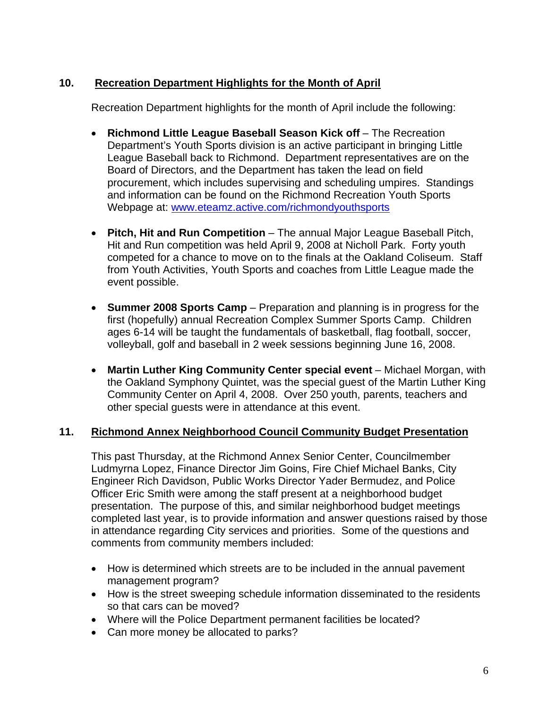# **10. Recreation Department Highlights for the Month of April**

Recreation Department highlights for the month of April include the following:

- **Richmond Little League Baseball Season Kick off** The Recreation Department's Youth Sports division is an active participant in bringing Little League Baseball back to Richmond. Department representatives are on the Board of Directors, and the Department has taken the lead on field procurement, which includes supervising and scheduling umpires. Standings and information can be found on the Richmond Recreation Youth Sports Webpage at: [www.eteamz.active.com/richmondyouthsports](http://www.eteamz.active.com/richmondyouthsports)
- **Pitch, Hit and Run Competition** The annual Major League Baseball Pitch, Hit and Run competition was held April 9, 2008 at Nicholl Park. Forty youth competed for a chance to move on to the finals at the Oakland Coliseum. Staff from Youth Activities, Youth Sports and coaches from Little League made the event possible.
- **Summer 2008 Sports Camp** Preparation and planning is in progress for the first (hopefully) annual Recreation Complex Summer Sports Camp. Children ages 6-14 will be taught the fundamentals of basketball, flag football, soccer, volleyball, golf and baseball in 2 week sessions beginning June 16, 2008.
- Martin Luther King Community Center special event Michael Morgan, with the Oakland Symphony Quintet, was the special guest of the Martin Luther King Community Center on April 4, 2008. Over 250 youth, parents, teachers and other special guests were in attendance at this event.

## **11. Richmond Annex Neighborhood Council Community Budget Presentation**

This past Thursday, at the Richmond Annex Senior Center, Councilmember Ludmyrna Lopez, Finance Director Jim Goins, Fire Chief Michael Banks, City Engineer Rich Davidson, Public Works Director Yader Bermudez, and Police Officer Eric Smith were among the staff present at a neighborhood budget presentation. The purpose of this, and similar neighborhood budget meetings completed last year, is to provide information and answer questions raised by those in attendance regarding City services and priorities. Some of the questions and comments from community members included:

- How is determined which streets are to be included in the annual pavement management program?
- How is the street sweeping schedule information disseminated to the residents so that cars can be moved?
- Where will the Police Department permanent facilities be located?
- Can more money be allocated to parks?